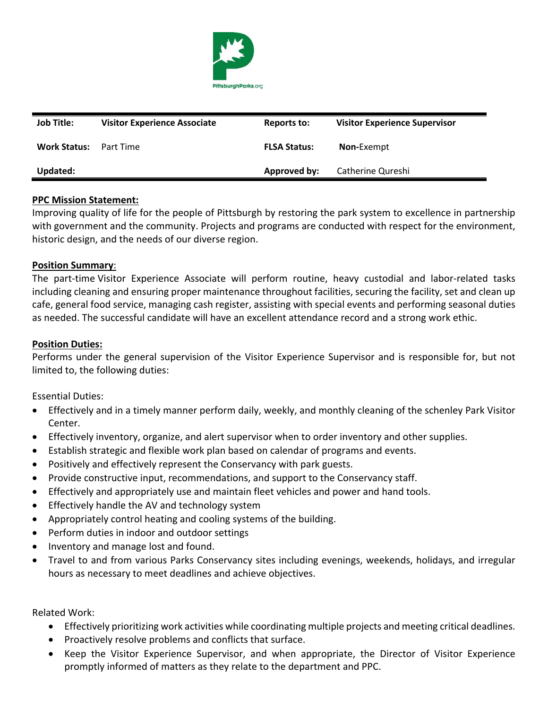

| <b>Job Title:</b>   | <b>Visitor Experience Associate</b> | Reports to:         | <b>Visitor Experience Supervisor</b> |
|---------------------|-------------------------------------|---------------------|--------------------------------------|
| <b>Work Status:</b> | Part Time                           | <b>FLSA Status:</b> | <b>Non-Exempt</b>                    |
| Updated:            |                                     | <b>Approved by:</b> | Catherine Qureshi                    |

### **PPC Mission Statement:**

Improving quality of life for the people of Pittsburgh by restoring the park system to excellence in partnership with government and the community. Projects and programs are conducted with respect for the environment, historic design, and the needs of our diverse region.

#### **Position Summary**:

The part-time Visitor Experience Associate will perform routine, heavy custodial and labor-related tasks including cleaning and ensuring proper maintenance throughout facilities, securing the facility, set and clean up cafe, general food service, managing cash register, assisting with special events and performing seasonal duties as needed. The successful candidate will have an excellent attendance record and a strong work ethic.

#### **Position Duties:**

Performs under the general supervision of the Visitor Experience Supervisor and is responsible for, but not limited to, the following duties:

Essential Duties:

- Effectively and in a timely manner perform daily, weekly, and monthly cleaning of the schenley Park Visitor Center.
- Effectively inventory, organize, and alert supervisor when to order inventory and other supplies.
- Establish strategic and flexible work plan based on calendar of programs and events.
- Positively and effectively represent the Conservancy with park guests.
- Provide constructive input, recommendations, and support to the Conservancy staff.
- Effectively and appropriately use and maintain fleet vehicles and power and hand tools.
- Effectively handle the AV and technology system
- Appropriately control heating and cooling systems of the building.
- Perform duties in indoor and outdoor settings
- Inventory and manage lost and found.
- Travel to and from various Parks Conservancy sites including evenings, weekends, holidays, and irregular hours as necessary to meet deadlines and achieve objectives.

Related Work:

- Effectively prioritizing work activities while coordinating multiple projects and meeting critical deadlines.
- Proactively resolve problems and conflicts that surface.
- Keep the Visitor Experience Supervisor, and when appropriate, the Director of Visitor Experience promptly informed of matters as they relate to the department and PPC.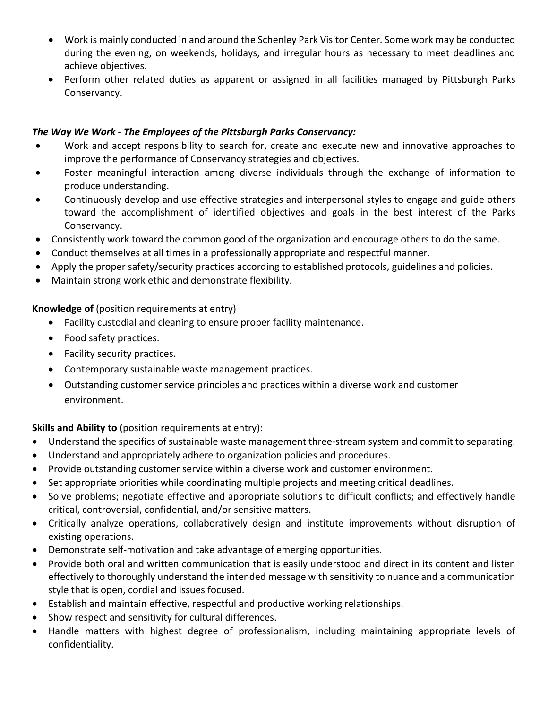- Work is mainly conducted in and around the Schenley Park Visitor Center. Some work may be conducted during the evening, on weekends, holidays, and irregular hours as necessary to meet deadlines and achieve objectives.
- Perform other related duties as apparent or assigned in all facilities managed by Pittsburgh Parks Conservancy.

# *The Way We Work - The Employees of the Pittsburgh Parks Conservancy:*

- Work and accept responsibility to search for, create and execute new and innovative approaches to improve the performance of Conservancy strategies and objectives.
- Foster meaningful interaction among diverse individuals through the exchange of information to produce understanding.
- Continuously develop and use effective strategies and interpersonal styles to engage and guide others toward the accomplishment of identified objectives and goals in the best interest of the Parks Conservancy.
- Consistently work toward the common good of the organization and encourage others to do the same.
- Conduct themselves at all times in a professionally appropriate and respectful manner.
- Apply the proper safety/security practices according to established protocols, guidelines and policies.
- Maintain strong work ethic and demonstrate flexibility.

## **Knowledge of** (position requirements at entry)

- Facility custodial and cleaning to ensure proper facility maintenance.
- Food safety practices.
- Facility security practices.
- Contemporary sustainable waste management practices.
- Outstanding customer service principles and practices within a diverse work and customer environment.

## **Skills and Ability to** (position requirements at entry):

- Understand the specifics of sustainable waste management three-stream system and commit to separating.
- Understand and appropriately adhere to organization policies and procedures.
- Provide outstanding customer service within a diverse work and customer environment.
- Set appropriate priorities while coordinating multiple projects and meeting critical deadlines.
- Solve problems; negotiate effective and appropriate solutions to difficult conflicts; and effectively handle critical, controversial, confidential, and/or sensitive matters.
- Critically analyze operations, collaboratively design and institute improvements without disruption of existing operations.
- Demonstrate self-motivation and take advantage of emerging opportunities.
- Provide both oral and written communication that is easily understood and direct in its content and listen effectively to thoroughly understand the intended message with sensitivity to nuance and a communication style that is open, cordial and issues focused.
- Establish and maintain effective, respectful and productive working relationships.
- Show respect and sensitivity for cultural differences.
- Handle matters with highest degree of professionalism, including maintaining appropriate levels of confidentiality.